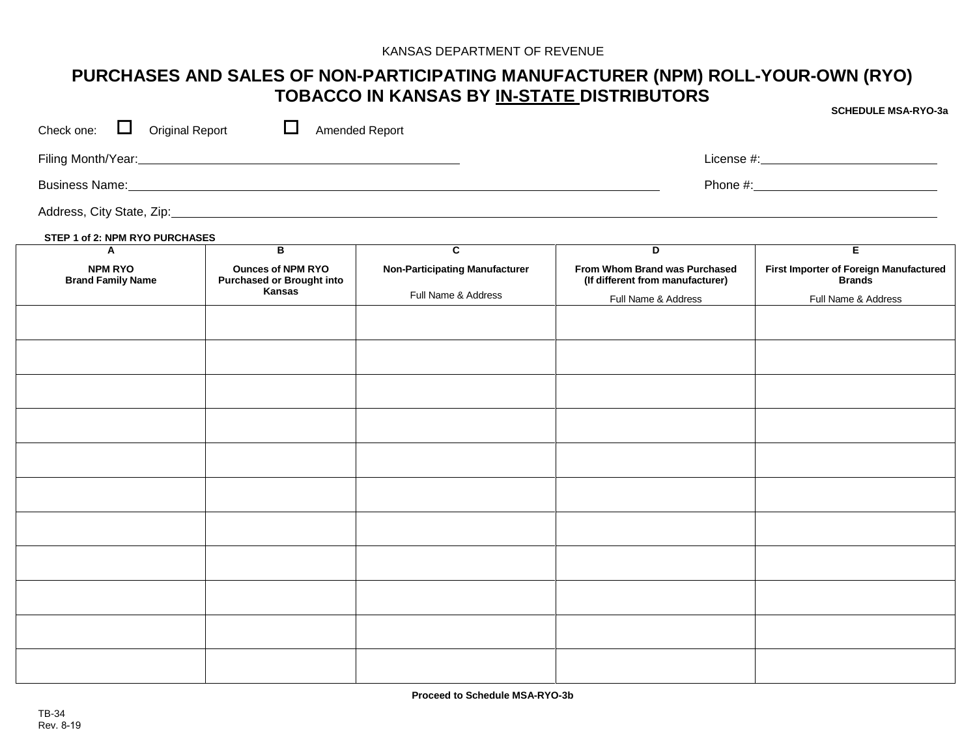## **PURCHASES AND SALES OF NON-PARTICIPATING MANUFACTURER (NPM) ROLL-YOUR-OWN (RYO) TOBACCO IN KANSAS BY IN-STATE DISTRIBUTORS**

|                                                                                                                |                                                                               |                                       |                                                                   | <b>SCHEDULE MSA-RYO-3a</b>                              |  |  |
|----------------------------------------------------------------------------------------------------------------|-------------------------------------------------------------------------------|---------------------------------------|-------------------------------------------------------------------|---------------------------------------------------------|--|--|
| $\Box$ Original Report<br>Check one:                                                                           |                                                                               | Amended Report                        |                                                                   |                                                         |  |  |
|                                                                                                                |                                                                               |                                       |                                                                   |                                                         |  |  |
| Business Name: 1990 Manual Communication of the Communication of the Communication of the Communication of the |                                                                               |                                       |                                                                   |                                                         |  |  |
|                                                                                                                |                                                                               |                                       |                                                                   |                                                         |  |  |
| STEP 1 of 2: NPM RYO PURCHASES                                                                                 |                                                                               |                                       |                                                                   |                                                         |  |  |
| A                                                                                                              | $\overline{B}$                                                                | $\overline{\mathbf{c}}$               | $\overline{D}$                                                    | $\overline{E}$                                          |  |  |
| <b>NPM RYO</b><br><b>Brand Family Name</b>                                                                     | <b>Ounces of NPM RYO</b><br><b>Purchased or Brought into</b><br><b>Kansas</b> | <b>Non-Participating Manufacturer</b> | From Whom Brand was Purchased<br>(If different from manufacturer) | First Importer of Foreign Manufactured<br><b>Brands</b> |  |  |
|                                                                                                                |                                                                               | Full Name & Address                   | Full Name & Address                                               | Full Name & Address                                     |  |  |
|                                                                                                                |                                                                               |                                       |                                                                   |                                                         |  |  |
|                                                                                                                |                                                                               |                                       |                                                                   |                                                         |  |  |
|                                                                                                                |                                                                               |                                       |                                                                   |                                                         |  |  |
|                                                                                                                |                                                                               |                                       |                                                                   |                                                         |  |  |
|                                                                                                                |                                                                               |                                       |                                                                   |                                                         |  |  |
|                                                                                                                |                                                                               |                                       |                                                                   |                                                         |  |  |
|                                                                                                                |                                                                               |                                       |                                                                   |                                                         |  |  |
|                                                                                                                |                                                                               |                                       |                                                                   |                                                         |  |  |
|                                                                                                                |                                                                               |                                       |                                                                   |                                                         |  |  |
|                                                                                                                |                                                                               |                                       |                                                                   |                                                         |  |  |
|                                                                                                                |                                                                               |                                       |                                                                   |                                                         |  |  |
|                                                                                                                |                                                                               |                                       |                                                                   |                                                         |  |  |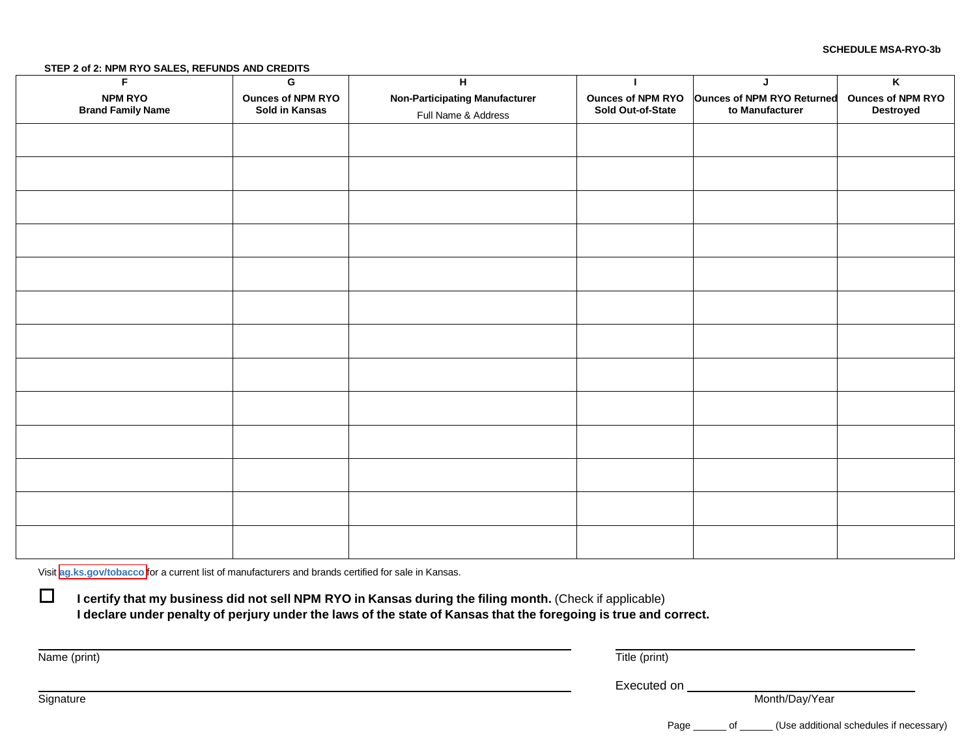#### **STEP 2 of 2: NPM RYO SALES, REFUNDS AND CREDITS**

| F                                          | G                                          | H                                                            |                                               | J                                                    | $\overline{\mathsf{K}}$                      |
|--------------------------------------------|--------------------------------------------|--------------------------------------------------------------|-----------------------------------------------|------------------------------------------------------|----------------------------------------------|
| <b>NPM RYO</b><br><b>Brand Family Name</b> | <b>Ounces of NPM RYO</b><br>Sold in Kansas | <b>Non-Participating Manufacturer</b><br>Full Name & Address | <b>Ounces of NPM RYO</b><br>Sold Out-of-State | <b>Ounces of NPM RYO Returned</b><br>to Manufacturer | <b>Ounces of NPM RYO</b><br><b>Destroyed</b> |
|                                            |                                            |                                                              |                                               |                                                      |                                              |
|                                            |                                            |                                                              |                                               |                                                      |                                              |
|                                            |                                            |                                                              |                                               |                                                      |                                              |
|                                            |                                            |                                                              |                                               |                                                      |                                              |
|                                            |                                            |                                                              |                                               |                                                      |                                              |
|                                            |                                            |                                                              |                                               |                                                      |                                              |
|                                            |                                            |                                                              |                                               |                                                      |                                              |
|                                            |                                            |                                                              |                                               |                                                      |                                              |
|                                            |                                            |                                                              |                                               |                                                      |                                              |
|                                            |                                            |                                                              |                                               |                                                      |                                              |
|                                            |                                            |                                                              |                                               |                                                      |                                              |
|                                            |                                            |                                                              |                                               |                                                      |                                              |
|                                            |                                            |                                                              |                                               |                                                      |                                              |

Visit **[ag.ks.gov/tobacco](http://ag.ks.gov/licensing/tobacco-enforcement)** for a current list of manufacturers and brands certified for sale in Kansas.

 **I certify that my business did not sell NPM RYO in Kansas during the filing month.** (Check if applicable) I declare under penalty of perjury under the laws of the state of Kansas that the foregoing is true and correct.

Name (print) Title (print)

**Signature** 

Executed on

Month/Day/Year

Page \_\_\_\_\_\_ of \_\_\_\_\_\_ (Use additional schedules if necessary)